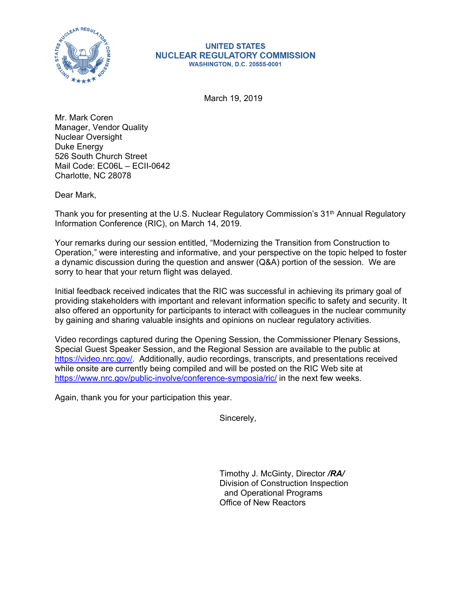

## **UNITED STATES NUCLEAR REGULATORY COMMISSION WASHINGTON, D.C. 20555-0001**

March 19, 2019

Mr. Mark Coren Manager, Vendor Quality Nuclear Oversight Duke Energy 526 South Church Street Mail Code: EC06L – ECII-0642 Charlotte, NC 28078

Dear Mark,

Thank you for presenting at the U.S. Nuclear Regulatory Commission's 31<sup>th</sup> Annual Regulatory Information Conference (RIC), on March 14, 2019.

Your remarks during our session entitled, "Modernizing the Transition from Construction to Operation," were interesting and informative, and your perspective on the topic helped to foster a dynamic discussion during the question and answer (Q&A) portion of the session. We are sorry to hear that your return flight was delayed.

Initial feedback received indicates that the RIC was successful in achieving its primary goal of providing stakeholders with important and relevant information specific to safety and security. It also offered an opportunity for participants to interact with colleagues in the nuclear community by gaining and sharing valuable insights and opinions on nuclear regulatory activities.

Video recordings captured during the Opening Session, the Commissioner Plenary Sessions, Special Guest Speaker Session, and the Regional Session are available to the public at https://video.nrc.gov/. Additionally, audio recordings, transcripts, and presentations received while onsite are currently being compiled and will be posted on the RIC Web site at https://www.nrc.gov/public-involve/conference-symposia/ric/ in the next few weeks.

Again, thank you for your participation this year.

Sincerely,

Timothy J. McGinty, Director */RA/*  Division of Construction Inspection and Operational Programs Office of New Reactors